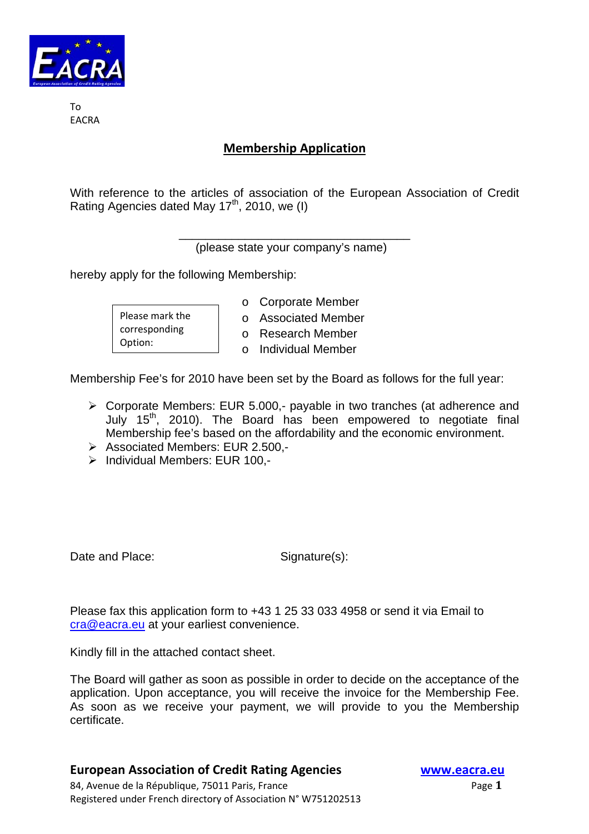

To **FACRA** 

## **Membership Application**

With reference to the articles of association of the European Association of Credit Rating Agencies dated May 17<sup>th</sup>, 2010, we (I)

> \_\_\_\_\_\_\_\_\_\_\_\_\_\_\_\_\_\_\_\_\_\_\_\_\_\_\_\_\_\_\_\_\_\_\_ (please state your company's name)

hereby apply for the following Membership:

Please mark the corresponding Option:

- o Corporate Member
- o Associated Member
- o Research Member
- o Individual Member

Membership Fee's for 2010 have been set by the Board as follows for the full year:

- ¾ Corporate Members: EUR 5.000,- payable in two tranches (at adherence and July 15th, 2010). The Board has been empowered to negotiate final Membership fee's based on the affordability and the economic environment.
- ¾ Associated Members: EUR 2.500,-
- ¾ Individual Members: EUR 100,-

Date and Place: Signature(s):

Please fax this application form to +43 1 25 33 033 4958 or send it via Email to cra@eacra.eu at your earliest convenience.

Kindly fill in the attached contact sheet.

The Board will gather as soon as possible in order to decide on the acceptance of the application. Upon acceptance, you will receive the invoice for the Membership Fee. As soon as we receive your payment, we will provide to you the Membership certificate.

## **European Association of Credit Rating Agencies www.eacra.eu**